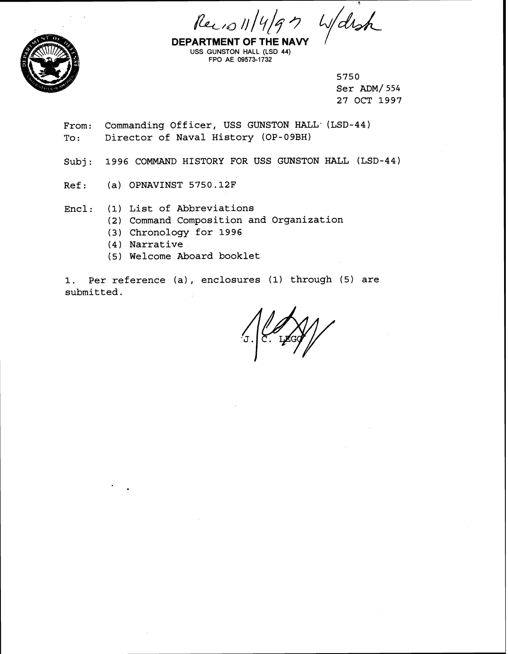$Recos 11/4/97$ 

Warsh



**DEPARTMENT OF THE NAVY** USS GUNSTON HALL (LSD 44) FPO AE 09573-1732

> 5750 Ser **ADM/** 554 27 OCT 1997

From: Commanding Officer, USS GUNSTON HALL (LSD-44) To: Director of Naval History (OP-09BH)

Subj: 1996 COMMAND HISTORY FOR USS GUNSTON HALL (LSD-44)

Ref: (a) OPNAVINST 5750.12F

Encl: (1) List of Abbreviations

- **(2)** Command Composition and Organization
- (3) Chronology for 1996
- (4) Narrative
- (5) Welcome Aboard booklet

1. Per reference (a), enclosures (1) through (5) are submitted.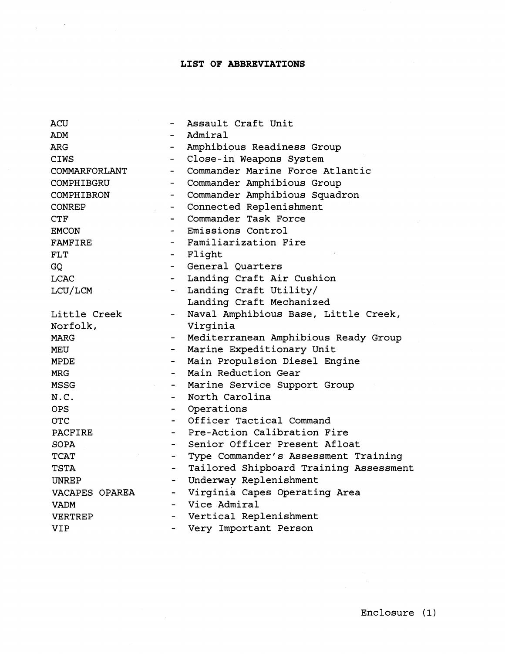# **LIST OF ABBREVIATIONS**

 $\frac{1}{2} \int_{\mathbb{R}^3} \frac{1}{\sqrt{2}} \, \mathrm{d} x \, dx$ 

| <b>ACU</b>     |                          | Assault Craft Unit                     |
|----------------|--------------------------|----------------------------------------|
| ADM            |                          | Admiral                                |
| ARG            |                          | Amphibious Readiness Group             |
| <b>CIWS</b>    |                          | Close-in Weapons System                |
| COMMARFORLANT  | $\overline{\phantom{0}}$ | Commander Marine Force Atlantic        |
| COMPHIBGRU     | $\overline{\phantom{0}}$ | Commander Amphibious Group             |
| COMPHIBRON     | $\overline{\phantom{0}}$ | Commander Amphibious Squadron          |
| <b>CONREP</b>  | $-$                      | Connected Replenishment                |
| <b>CTF</b>     | $\overline{\phantom{0}}$ | Commander Task Force                   |
| <b>EMCON</b>   |                          | Emissions Control                      |
| FAMFIRE        |                          | Familiarization Fire                   |
| FLT            |                          | Flight                                 |
| GQ             | $\blacksquare$           | General Ouarters                       |
| <b>LCAC</b>    | $\overline{\phantom{a}}$ | Landing Craft Air Cushion              |
| LCU/LCM        |                          | Landing Craft Utility/                 |
|                |                          | Landing Craft Mechanized               |
| Little Creek   |                          | Naval Amphibious Base, Little Creek,   |
| Norfolk,       |                          | Virginia                               |
| <b>MARG</b>    |                          | Mediterranean Amphibious Ready Group   |
| <b>MEU</b>     |                          | Marine Expeditionary Unit              |
| <b>MPDE</b>    |                          | Main Propulsion Diesel Engine          |
| <b>MRG</b>     |                          | Main Reduction Gear                    |
| <b>MSSG</b>    | $\overline{\phantom{0}}$ | Marine Service Support Group           |
| N.C.           | $\overline{\phantom{0}}$ | North Carolina                         |
| OPS.           | $ -$                     | Operations                             |
| <b>OTC</b>     | $\blacksquare$           | Officer Tactical Command               |
| PACFIRE        | $\overline{\phantom{0}}$ | Pre-Action Calibration Fire            |
| <b>SOPA</b>    |                          | Senior Officer Present Afloat          |
| TCAT           |                          | Type Commander's Assessment Training   |
| TSTA           |                          | Tailored Shipboard Training Assessment |
| UNREP          | -                        | Underway Replenishment                 |
| VACAPES OPAREA | -                        | Virginia Capes Operating Area          |
| VADM           |                          | Vice Admiral                           |
| VERTREP        | $\overline{\phantom{0}}$ | Vertical Replenishment                 |
| VIP            | $\overline{\phantom{0}}$ | Very Important Person                  |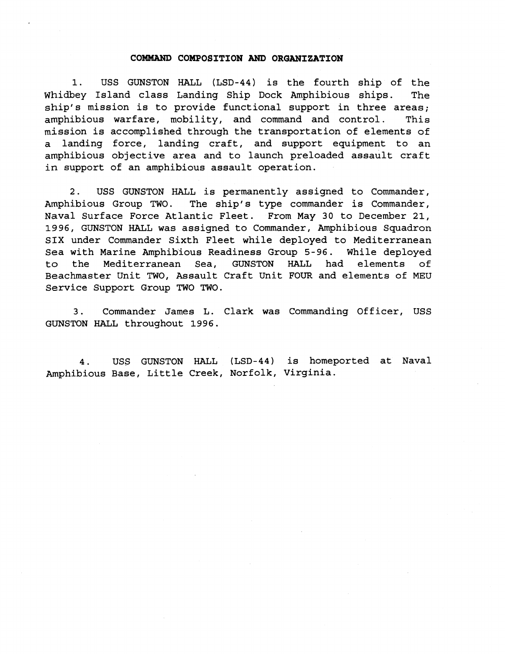# **COMMAND COMPOSITION AND ORGANIZATION**

1. USS GUNSTON HALL (LSD-44) is the fourth ship of the Whidbey Island class Landing Ship Dock Amphibious ships. The ship's mission is to provide functional support in three areas; amphibious warfare, mobility, and command and control. This mission is accomplished through the transportation of elements of a landing force, landing craft, and support equipment to an amphibious objective area and to launch preloaded assault craft in support of an amphibious assault operation.

2. USS GUNSTON HALL is permanently assigned to Commander, Amphibious Group TWO. The ship's type commander is Commander, Naval Surface Force Atlantic Fleet. From May 30 to December 21, 1996, GUNSTON HALL was assigned to Commander, Amphibious Squadron SIX under Commander Sixth Fleet while deployed to Mediterranean Sea with Marine Amphibious Readiness Group 5-96. While deployed to the Mediterranean Sea, GUNSTON HALL had elements of Beachmaster Unit TWO, Assault Craft Unit FOUR and elements of MEU Service Support Group TWO TWO.

3. Commander James L. Clark was Commanding Officer, USS GUNSTON HALL throughout 1996.

4. USS GUNSTON HALL (LSD-44) is homeported at Naval Amphibious Base, Little Creek, Norfolk, Virginia.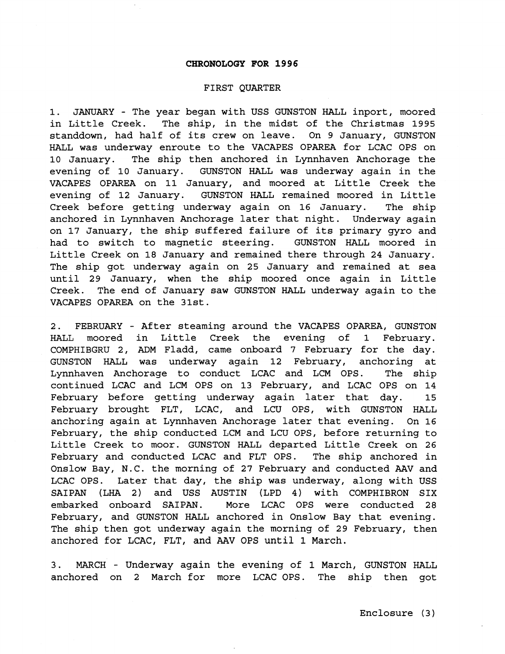#### **CHRONOLOGY FOR 1996**

#### FIRST QUARTER

1. JANUARY - The year began with USS GUNSTON HALL inport, moored in Little Creek. The ship, in the midst of the Christmas 1995 standdown, had half of its crew on leave. On 9 January, GUNSTON HALL was underway enroute to the VACAPES OPAREA for LCAC OPS on 10 January. The ship then anchored in Lynnhaven Anchorage the evening of 10 January. GUNSTON HALL was underway again in the VACAPES OPAREA on 11 January, and moored at Little Creek the evening of 12 January. GUNSTON HALL remained moored in Little Creek before getting underway again on **16** January. The ship anchored in Lynnhaven Anchorage later that night. Underway again on 17 January, the ship suffered failure of its primary gyro and had to switch to magnetic steering. GUNSTON HALL moored in Little Creek on 18 January and remained there through 24 January. The ship got underway again on 25 January and remained at sea until 29 January, when the ship moored once again in Little Creek. The end of January saw GUNSTON HALL underway again to the VACAPES OPAREA on the 31st.

**2.** FEBRUARY - After steaming around the VACAPES OPAREA, GUNSTON HALL moored in Little Creek the evening of **1** February. COMPHIBGRU 2, ADM Fladd, came onboard **7** February for the day. GUNSTON HALL was underway again 12 February, anchoring at Lynnhaven Anchorage to conduct LCAC and LCM OPS. The ship continued LCAC and LCM OPS on 13 February, and LCAC OPS on 14 February before getting underway again later that day. 15 February brought FLT, LCAC, and LCU OPS, with GUNSTON HALL anchoring again at Lynnhaven Anchorage later that evening. On 16 February, the ship conducted LCM and LCU OPS, before returning to Little Creek to moor. GUNSTON HALL departed Little Creek on **26**  February and conducted LCAC and FLT OPS. The ship anchored in Onslow Bay, N.C. the morning of **27** February and conducted AAV and LCAC OPS. Later that day, the ship was underway, along with USS SAIPAN (LHA **2)** and USS AUSTIN (LPD 4) with COMPHIBRON SIX embarked onboard SAIPAN. More LCAC OPS were conducted 28 February, and GUNSTON HALL anchored in Onslow Bay that evening. The ship then got underway again the morning of 29 February, then anchored for LCAC, FLT, and **AAV** OPS until 1 March.

3. MARCH - Underway again the evening of 1 March, GUNSTON HALL anchored on 2 March for more LCAC OPS. The ship then got

Enclosure (3)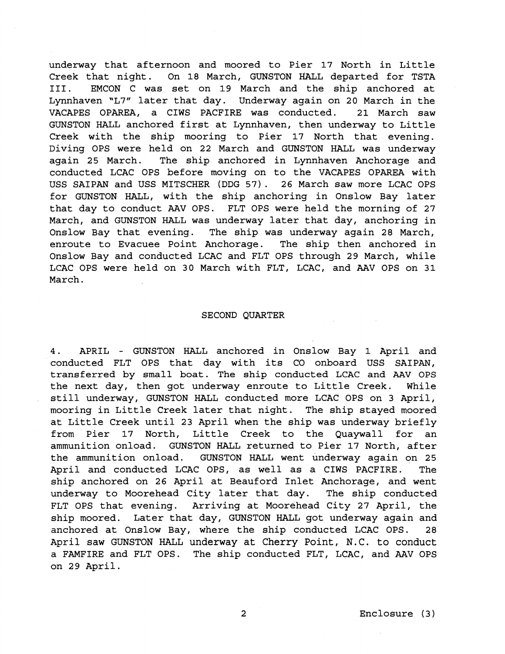underway that afternoon and moored to Pier **17** North in Little Creek that night. On **18** March, GUNSTON HALL departed for TSTA 111. EMCON C was set on **19** March and the ship anchored at Lynnhaven **"L7"** later that day. Underway again on **20** March in the VACAPES OPAREA, a CIWS PACFIRE was conducted. **21** March saw GUNSTON HALL anchored first at Lynnhaven, then underway to Little Creek with the ship mooring to Pier **17** North that evening. Diving OPS were held on 22 March and GUNSTON HALL was underway again **25** March. The ship anchored in Lynnhaven Anchorage and conducted LCAC OPS before moving on to the VACAPES OPAREA with USS SAIPAN and USS MITSCHER (DDG **57). 26** March saw more LCAC OPS for GUNSTON HALL, with the ship anchoring in Onslow Bay later that day to conduct AAV OPS. FLT OPS were held the morning of **27**  March, and GUNSTON HALL was underway later that day, anchoring in Onslow Bay that evening. The ship was underway again **28** March, enroute to Evacuee Point Anchorage. The ship then anchored in Onslow Bay and conducted LCAC and FLT OPS through **29** March, while LCAC OPS were held on **30** March with FLT, LCAC, and AAV OPS on **31**  March.

#### SECOND QUARTER

4. APRIL - GUNSTON HALL anchored in Onslow Bay 1 April and conducted FLT OPS that day with its CO onboard USS SAIPAN, transferred by small boat. The ship conducted LCAC and **AAV** OPS the next day, then got underway enroute to Little Creek. While still underway, GUNSTON HALL conducted more LCAC OPS on **3** April, mooring in Little Creek later that night. The ship stayed moored at Little Creek until **23** April when the ship was underway briefly from Pier **17** North, Little Creek to the Quaywall for an ammunition onload. GUNSTON HALL returned to Pier **17** North, after the ammunition onload. GUNSTON HALL went underway again on **25**  April and conducted LCAC OPS, as well as a CIWS PACFIRE. The ship anchored on **26** April at Beauford Inlet Anchorage, and went underway to Moorehead City later that day. The ship conducted FLT OPS that evening. Arriving at Moorehead City **27** April, the ship moored. Later that day, GUNSTON HALL got underway again and anchored at Onslow Bay, where the ship conducted LCAC OPS. **28**  April saw GUNSTON HALL underway at Cherry Point, N.C. to conduct a FAMFIRE and FLT OPS. The ship conducted FLT, LCAC, and AAV OPS on **29** April.

 $\overline{a}$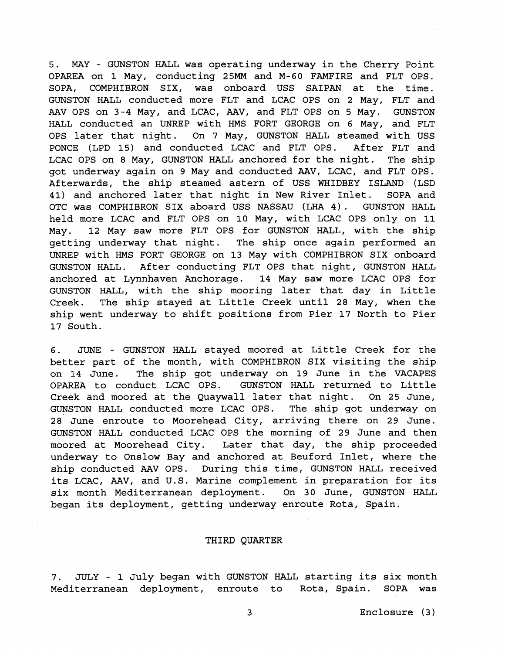**5.** MAY - GUNSTON HALL was operating underway in the Cherry Point OPAREA on **1** May, conducting **25MM** and M-60 FAMFIRE and FLT OPS. SOPA, COMPHIBRON SIX, was onboard USS SAIPAN at the time. GUNSTON HALL conducted more FLT and LCAC OPS on **2** May, FLT and AAV OPS on 3-4 May, and LCAC, AAV, and FLT OPS on 5 May. GUNSTON HALL conducted an UNREP with HMS FORT GEORGE on 6 May, and FLT OPS later that night. On **7** May, GUNSTON HALL steamed with USS PONCE (LPD **15)** and conducted LCAC and FLT OPS. After FLT and LCAC OPS on **8** May, GUNSTON HALL anchored for the night. The ship got underway again on **9** May and conducted AAV, LCAC, and FLT OPS. Afterwards, the ship steamed astern of USS WHIDBEY ISLAND (LSD **41)** and anchored later that night in New River Inlet. SOPA and OTC was COMPHIBRON SIX aboard USS NASSAU (LHA **4).** GUNSTON HALL held more LCAC and FLT OPS on 10 May, with LCAC OPS only on 11 May. **12** May saw more FLT OPS for GUNSTON HALL, with the ship getting underway that night. The ship once again performed an UNREP with HMS FORT GEORGE on **13** May with COMPHIBRON SIX onboard GUNSTON HALL. After conducting FLT OPS that night, GUNSTON HALL anchored at Lynnhaven Anchorage. **14** May saw more LCAC OPS for GUNSTON HALL, with the ship mooring later that day in Little Creek. The ship stayed at Little Creek until **28** May, when the ship went underway to shift positions from Pier **17** North to Pier **17** South.

6. JUNE - GUNSTON HALL stayed moored at Little Creek for the better part of the month, with COMPHIBRON SIX visiting the ship on **14** June. The ship got underway on **19** June in the VACAPES OPAREA to conduct LCAC OPS. GUNSTON HALL returned to Little Creek and moored at the Quaywall later that night. On **25** June, GUNSTON HALL conducted more LCAC OPS. The ship got underway on **28** June enroute to Moorehead City, arriving there on **29** June. GUNSTON HALL conducted LCAC OPS the morning of **29** June and then moored at Moorehead City. Later that day, the ship proceeded underway to Onslow Bay and anchored at Beuford Inlet, where the ship conducted AAV OPS. During this time, GUNSTON HALL received its LCAC, **AAV,** and U.S. Marine complement in preparation for its six month Mediterranean deployment. On 30 June, GUNSTON HALL began its deployment, getting underway enroute Rota, Spain.

# THIRD QUARTER

**7.** JULY - **1** July began with GUNSTON HALL starting its six month Mediterranean deployment, enroute to Rota, Spain. SOPA was

3 Enclosure (3 )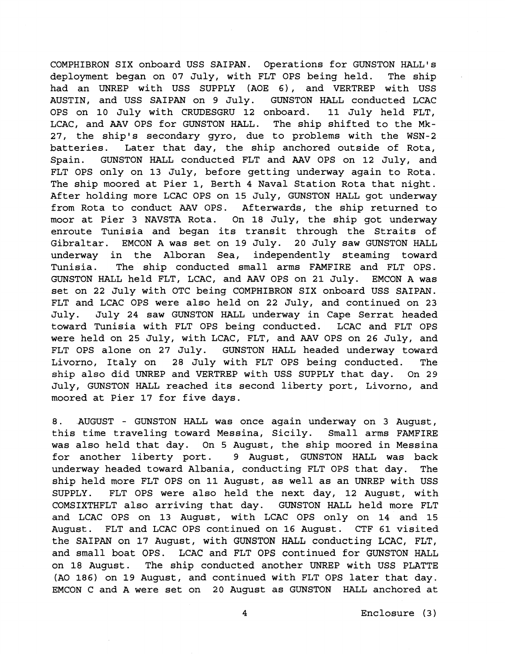COMPHIBRON SIX onboard USS SAIPAN. Operations for GUNSTON HALL'S deployment began on 07 July, with FLT OPS being held. The ship had an UNREP with USS SUPPLY (AOE 6), and VERTREP with USS AUSTIN, and USS SAIPAN on 9 July. GUNSTON HALL conducted LCAC OPS on 10 July with CRUDESGRU 12 onboard. 11 July held FLT, LCAC, and **AAV** OPS for GUNSTON HALL. The ship shifted to the Mk-27, the ship's secondary gyro, due to problems with the WSN-2 batteries. Later that day, the ship anchored outside of Rota, Spain. GUNSTON HALL conducted FLT and AAV OPS on 12 July, and FLT OPS only on 13 July, before getting underway again to Rota. The ship moored at Pier 1, Berth 4 Naval Station Rota that night. After holding more LCAC OPS on **15** July, GUNSTON HALL got underway from Rota to conduct AAV OPS. Afterwards, the ship returned to moor at Pier 3 NAVSTA Rota. On 18 July, the ship got underway enroute Tunisia and began its transit through the Straits of Gibraltar. EMCON A was set on 19 July. 20 July saw GUNSTON HALL underway in the Alboran Sea, independently steaming toward Tunisia. The ship conducted small arms FAMFIRE and FLT OPS. GUNSTON HALL held FLT, LCAC, and AAV OPS on 21 July. EMCON A was set on 22 July with OTC being COMPHIBRON SIX onboard USS SAIPAN. FLT and LCAC OPS were also held on 22 July, and continued on 23 July. July 24 saw GUNSTON HALL underway in Cape Serrat headed toward Tunisia with FLT OPS being conducted. LCAC and FLT OPS were held on 25 July, with LCAC, FLT, and AAV OPS on 26 July, and FLT OPS alone on 27 July. GUNSTON HALL headed underway toward Livorno, Italy on 28 July with FLT OPS being conducted. The ship also did UNREP and VERTREP with USS SUPPLY that day. On 29 July, GUNSTON HALL reached its second liberty port, Livorno, and moored at Pier 17 for five days.

8. AUGUST - GUNSTON HALL was once again underway on 3 August, this time traveling toward Messina, Sicily. Small arms FAMFIRE was also held that day. On 5 August, the ship moored in Messina for another liberty port. 9 August, GUNSTON HALL was back underway headed toward Albania, conducting FLT OPS that day. The ship held more FLT OPS on 11 August, as well as an UNREP with USS SUPPLY. FLT OPS were also held the next day, 12 August, with COMSIXTHFLT also arriving that day. GUNSTON HALL held more FLT and LCAC OPS on 13 August, with LCAC OPS only on **14** and **15**  August. FLT and LCAC OPS continued on 16 August. CTF **61** visited the SAIPAN on 17 August, with GUNSTON HALL conducting LCAC, FLT, and small boat OPS. LCAC and FLT OPS continued for GUNSTON HALL on 18 August. The ship conducted another UNREP with USS PLATTE (A0 186) on 19 August, and continued with FLT OPS later that day. EMCON C and A were set on 20 August as GUNSTON HALL anchored at

**4** Enclosure (3)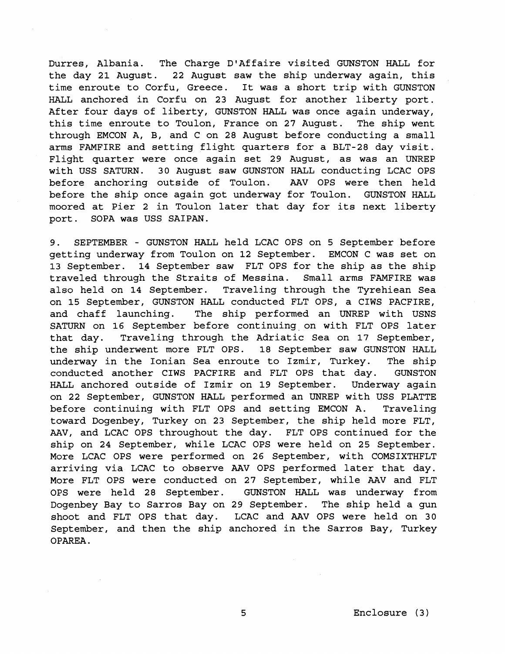Durres, Albania. The Charge D'Affaire visited GUNSTON HALL for the day **21** August. **22** August saw the ship underway again, this time enroute to Corfu, Greece. It was a short trip with GUNSTON HALL anchored in Corfu on 23 August for another liberty port. After four days of liberty, GUNSTON HALL was once again underway, this time enroute to Toulon, France on 27 August. The ship went through EMCON A, B, and C on 28 August before conducting a small arms FAMFIRE and setting flight quarters for a BLT-28 day visit. Flight quarter were once again set **29** August, as was an UNREP with USS SATURN. 30 August saw GUNSTON HALL conducting LCAC OPS before anchoring outside of Toulon. AAV OPS were then held before the ship once again got underway for Toulon. GUNSTON HALL moored at Pier **2** in Toulon later that day for its next liberty port. SOPA was USS SAIPAN.

**9.** SEPTEMBER - GUNSTON HALL held LCAC OPS on 5 September before getting underway from Toulon on **12** September. EMCON C was set on 13 September. **14** September saw FLT OPS for the ship as the ship traveled through the Straits of Messina. Small arms FAMFIRE was also held on **14** September. Traveling through the Tyrehiean Sea on 15 September, GUNSTON HALL conducted FLT OPS, a CIWS PACFIRE, and chaff launching. The ship performed an UNREP with USNS SATURN on **16** September before continuing, on with FLT OPS later that day. Traveling through the Adriatic Sea on 17 September, the ship underwent more FLT OPS. 18 September saw GUNSTON HALL underway in the Ionian Sea enroute to Izmir, Turkey. The ship conducted another CIWS PACFIRE and FLT OPS that day. GUNSTON HALL anchored outside of Izmir on **19** September. Underway again on **22** September, GUNSTON HALL performed an UNREP with USS PLATTE before continuing with FLT OPS and setting EMCON A. Traveling toward Dogenbey, Turkey on 23 September, the ship held more FLT, AAV, and LCAC OPS throughout the day. FLT OPS continued for the ship on 24 September, while LCAC OPS were held on 25 September. More LCAC OPS were performed on **26** September, with COMSIXTHFLT arriving via LCAC to observe AAV OPS performed later that day. More FLT OPS were conducted on **27** September, while **AAV** and FLT OPS were held 28 September. GUNSTON HALL was underway from Dogenbey Bay to Sarros Bay on **29** September. The ship held a gun shoot and FLT OPS that day. LCAC and AAV OPS were held on 30 September, and then the ship anchored in the Sarros Bay, Turkey OPAREA .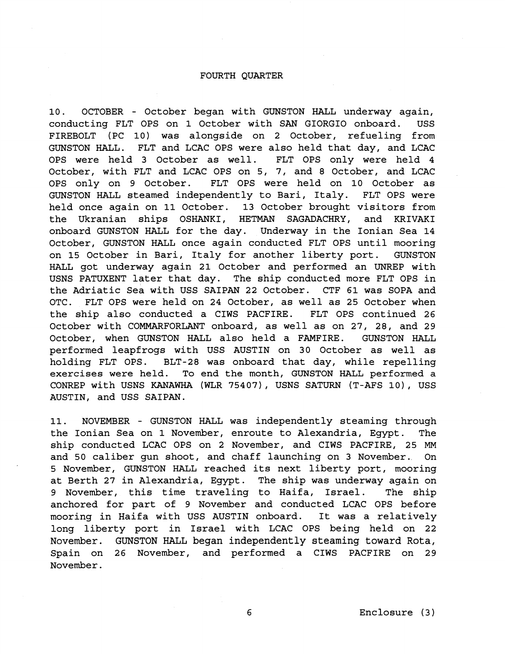#### FOURTH QUARTER

10. OCTOBER - October began with GUNSTON HALL underway again, conducting FLT OPS on 1 October with SAN GIORGIO onboard. USS FIREBOLT (PC 10) was alongside on 2 October, refueling from GUNSTON HALL. FLT and LCAC OPS were also held that day, and LCAC OPS were held 3 October as well. FLT OPS only were held 4 October, with FLT and LCAC OPS on 5, 7, and 8 October, and LCAC OPS only on 9 October. FLT OPS were held on 10 October as GUNSTON HALL steamed independently to Bari, Italy. FLT OPS were held once again on 11 October. 13 October brought visitors from the Ukranian ships OSHANKI, HETMAN SAGADACHRY, and KRIVAKI onboard GUNSTON HALL for the day. Underway in the Ionian Sea 14 October, GUNSTON HALL once again conducted FLT OPS until mooring on 15 October in Bari, Italy for another liberty port. GUNSTON HALL got underway again 21 October and performed an UNREP with USNS PATUXENT later that day. The ship conducted more FLT OPS in the Adriatic Sea with USS SAIPAN 22 October. CTF 61 was SOPA and OTC. FLT OPS were held on 24 October, as well as 25 October when the ship also conducted a CIWS PACFIRE. FLT OPS continued 26 October with COMMARFORLANT onboard, as well as on 27, 28, and 29 October, when GUNSTON HALL also held a FAMFIRE. GUNSTON HALL performed leapfrogs with USS AUSTIN on 30 October as well as holding FLT OPS. BLT-28 was onboard that day, while repelling exercises were held. To end the month, GUNSTON HALL performed a CONREP with USNS KANAWHA (WLR 75407), USNS SATURN (T-AFS lo), USS AUSTIN, and USS SAIPAN.

11. NOVEMBER - GUNSTON HALL was independently steaming through the Ionian Sea on 1 November, enroute to Alexandria, Egypt. The ship conducted LCAC OPS on 2 November, and CIWS PACFIRE, 25 **MM**  and 50 caliber gun shoot, and chaff launching on 3 November. On 5 November, GUNSTON HALL reached its next liberty port, mooring at Berth 27 in Alexandria, Egypt. The ship was underway again on 9 November, this time traveling to Haifa, Israel. The ship anchored for part of 9 November and conducted LCAC OPS before mooring in Haifa with USS AUSTIN onboard. It was a relatively long liberty port in Israel with LCAC OPS being held on 22 **November. GUNSTON** HALL **began independently steaming toward Rota,**  Spain on 26 November, and performed a CIWS PACFIRE on 29 November.

Enclosure ( 3 )

6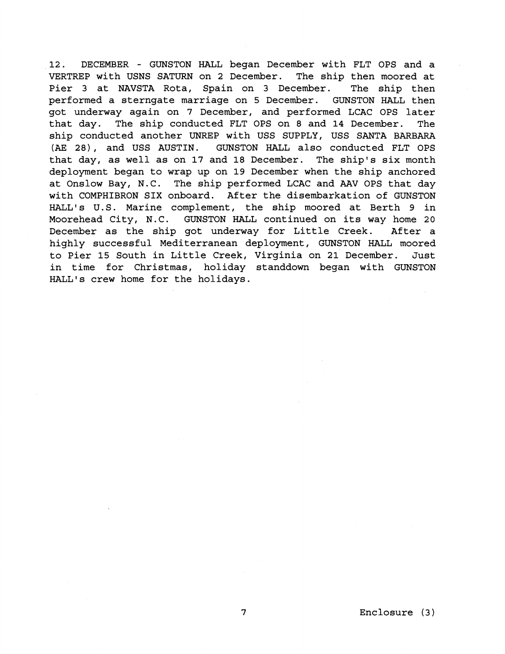12. DECEMBER - GUNSTON HALL began December with FLT OPS and a VERTREP with USNS SATURN on 2 December. The ship then moored at Pier 3 at NAVSTA Rota, Spain on 3 December. The ship then performed a sterngate marriage on 5 December. GUNSTON HALL then got underway again on 7 December, and performed LCAC OPS later that day. The ship conducted FLT OPS on 8 and 14 December. The ship conducted another UNREP with USS SUPPLY, USS SANTA BARBARA **(AE** 28), and USS AUSTIN. GUNSTON HALL also conducted FLT OPS that day, as well as on 17 and 18 December. The ship's six month deployment began to wrap up on 19 December when the ship anchored at Onslow Bay, N.C. The ship performed LCAC and **AAV** OPS that day with COMPHIBRON SIX onboard. After the disembarkation of GUNSTON HALL'S U.S. Marine complement, the ship moored at Berth 9 in Moorehead City, N.C. GUNSTON HALL continued on its way home 20 December as the ship got underway for Little Creek. After a highly successful Mediterranean deployment, GUNSTON HALL moored to Pier 15 South in Little Creek, Virginia on 21 December. Just in time for Christmas, holiday standdown began with GUNSTON HALL'S crew home for the holidays.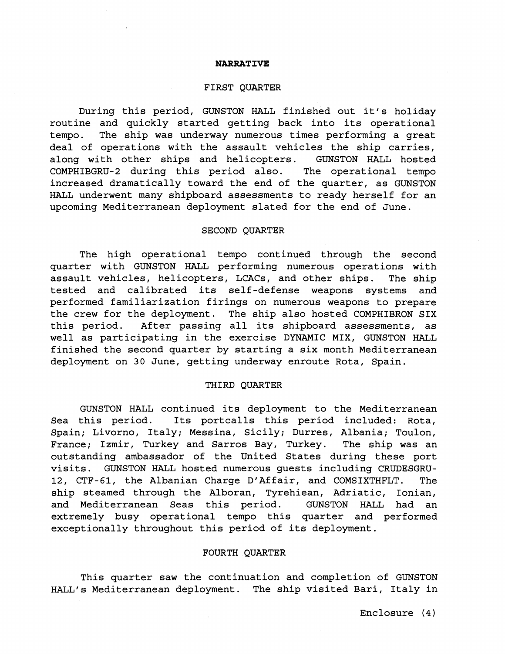#### **NARRATIVE**

#### FIRST QUARTER

During this period, GUNSTON HALL finished out it's holiday routine and quickly started getting back into its operational tempo. The ship was underway numerous times performing a great deal of operations with the assault vehicles the ship carries, along with other ships and helicopters. GUNSTON HALL hosted COMPHIBGRU-2 during this period also. The operational tempo increased dramatically toward the end of the quarter, as GUNSTON HALL underwent many shipboard assessments to ready herself for an upcoming Mediterranean deployment slated for the end of June.

# SECOND QUARTER

The high operational tempo continued through the second quarter with GUNSTON HALL performing numerous operations with assault vehicles, helicopters, LCACs, and other ships. The ship tested and calibrated its self-defense weapons systems and performed familiarization firings on numerous weapons to prepare the crew for the deployment. The ship also hosted COMPHIBRON SIX this period. After passing all its shipboard assessments, as well as participating in the exercise DYNAMIC MIX, GUNSTON HALL finished the second quarter by starting a six month Mediterranean deployment on 30 June, getting underway enroute Rota, Spain.

#### THIRD QUARTER

GUNSTON HALL continued its deployment to the Mediterranean Sea this period. Its portcalls this period included: Rota, Spain; Livorno, Italy; Messina, Sicily; Durres, Albania; Toulon, France; Izmir, Turkey and Sarros Bay, Turkey. The ship was an outstanding ambassador of the United States during these port visits. GUNSTON HALL hosted numerous guests including CRUDESGRU-12, CTF-61, the Albanian Charge D'Affair, and COMSIXTHFLT. The ship steamed through the Alboran, Tyrehiean, Adriatic, Ionian, and Mediterranean Seas this period. GUNSTON HALL had an extremely busy operational tempo this quarter and performed exceptionally throughout this period of its deployment.

# FOURTH QUARTER

This quarter saw the continuation and completion of GUNSTON HALL'S Mediterranean deployment. The ship visited Bari, Italy in

Enclosure **(4)**